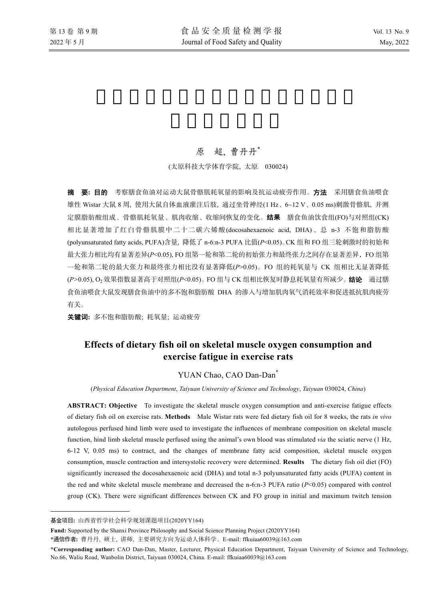# 原 超, 曹丹丹\*

(太原科技大学体育学院, 太原 030024)

摘要**:** 目的 考察膳食鱼油对运动大鼠骨骼肌耗氧量的影响及抗运动疲劳作用。方法 采用膳食鱼油喂食 雄性 Wistar 大鼠 8 周, 使用大鼠自体血液灌注后肢, 通过坐骨神经(1 Hz、6~12 V、0.05 ms)刺激骨骼肌, 并测 定膜脂肪酸组成、骨骼肌耗氧量、肌肉收缩、收缩间恢复的变化。**结果** 膳食鱼油饮食组(FO)与对照组(CK) 相比显著增加了红白骨骼肌膜中二十二碳六烯酸(docosahexaenoic acid, DHA)、总 n-3 不饱和脂肪酸 (polyunsaturated fatty acids, PUFA)含量, 降低了 n-6:n-3 PUFA 比值(*P*<0.05)。CK 组和 FO 组三轮刺激时的初始和 最大张力相比均有显著差异(*P*<0.05), FO 组第一轮和第二轮的初始张力和最终张力之间存在显著差异,FO 组第 一轮和第二轮的最大张力和最终张力相比没有显著降低(*P*>0.05)。FO 组的耗氧量与 CK 组相比无显著降低 (*P>*0.05), O2效果指数显著高于对照组(*P*<0.05)。FO 组与 CK 组相比恢复时静息耗氧量有所减少。结论通过膳 食鱼油喂食大鼠发现膳食鱼油中的多不饱和脂肪酸 DHA 的渗入与增加肌肉氧气消耗效率和促进抵抗肌肉疲劳 有关。

关键词**:** 多不饱和脂肪酸; 耗氧量; 运动疲劳

# **Effects of dietary fish oil on skeletal muscle oxygen consumption and exercise fatigue in exercise rats**

## YUAN Chao, CAO Dan-Dan<sup>\*</sup>

(*Physical Education Department*, *Taiyuan University of Science and Technology*, *Taiyuan* 030024, *China*)

**ABSTRACT: Objective** To investigate the skeletal muscle oxygen consumption and anti-exercise fatigue effects of dietary fish oil on exercise rats. **Methods** Male Wistar rats were fed dietary fish oil for 8 weeks, the rats *in vivo* autologous perfused hind limb were used to investigate the influences of membrane composition on skeletal muscle function, hind limb skeletal muscle perfused using the animal's own blood was stimulated *via* the sciatic nerve (1 Hz, 6-12 V, 0.05 ms) to contract, and the changes of membrane fatty acid composition, skeletal muscle oxygen consumption, muscle contraction and intersystolic recovery were determined. **Results** The dietary fish oil diet (FO) significantly increased the docosahexaenoic acid (DHA) and total n-3 polyunsaturated fatty acids (PUFA) content in the red and white skeletal muscle membrane and decreased the n-6:n-3 PUFA ratio (*P*<0.05) compared with control group (CK). There were significant differences between CK and FO group in initial and maximum twitch tension

 $\overline{a}$ 

基金项目**:** 山西省哲学社会科学规划课题项目(2020YY164)

**Fund:** Supported by the Shanxi Province Philosophy and Social Science Planning Project (2020YY164)

<sup>\*</sup>通信作者**:** 曹丹丹, 硕士, 讲师, 主要研究方向为运动人体科学。E-mail: ffkuiaa60039@163.com

<sup>\*</sup>**Corresponding author:** CAO Dan-Dan, Master, Lecturer, Physical Education Department, Taiyuan University of Science and Technology, No.66, Waliu Road, Wanbolin District, Taiyuan 030024, China. E-mail: ffkuiaa60039@163.com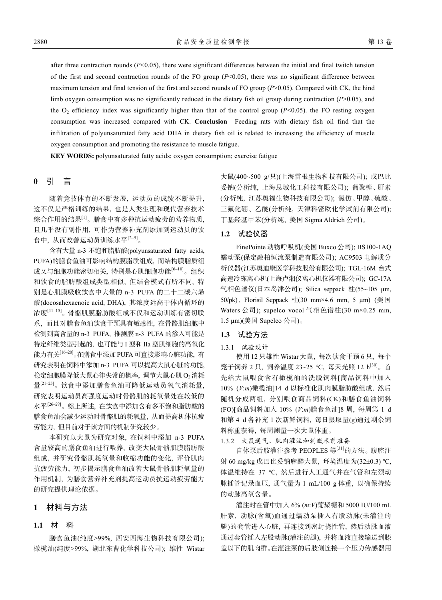after three contraction rounds  $(P<0.05)$ , there were significant differences between the initial and final twitch tension of the first and second contraction rounds of the FO group (*P*<0.05), there was no significant difference between maximum tension and final tension of the first and second rounds of FO group (*P*>0.05). Compared with CK, the hind limb oxygen consumption was no significantly reduced in the dietary fish oil group during contraction (*P*>0.05), and the  $O_2$  efficiency index was significantly higher than that of the control group ( $P$ <0.05). the FO resting oxygen consumption was increased compared with CK. **Conclusion** Feeding rats with dietary fish oil find that the infiltration of polyunsaturated fatty acid DHA in dietary fish oil is related to increasing the efficiency of muscle oxygen consumption and promoting the resistance to muscle fatigue.

**KEY WORDS:** polyunsaturated fatty acids; oxygen consumption; exercise fatigue

# **0** 引 言

随着竞技体育的不断发展, 运动员的成绩不断提升, 这不仅是严格训练的结果, 也是人类生理和现代营养技术 综合作用的结果[1]。膳食中有多种抗运动疲劳的营养物质, 且几乎没有副作用, 可作为营养补充剂添加到运动员的饮 食中, 从而改善运动员训练水平[2–5]。

含有大量 n-3 不饱和脂肪酸(polyunsaturated fatty acids, PUFA)的膳食鱼油可影响结构膜脂质组成, 而结构膜脂质组 成又与细胞功能密切相关, 特别是心肌细胞功能[6–10]。组织 和饮食的脂肪酸组成类型相似, 但结合模式有所不同, 特 别是心肌膜吸收饮食中大量的 n-3 PUFA 的二十二碳六烯 酸(docosahexaenoic acid, DHA), 其浓度远高于体内循环的 浓度[11–15]。骨骼肌膜脂肪酸组成不仅和运动训练有密切联 系, 而且对膳食鱼油饮食干预具有敏感性, 在骨骼肌细胞中 检测到高含量的 n-3 PUFA, 推测膜 n-3 PUFA 的渗入可能是 特定纤维类型引起的, 也可能与 I 型和 IIa 型肌细胞的高氧化 能力有关<sup>[16–20]</sup>。在膳食中添加 PUFA 可直接影响心脏功能, 有 研究表明在饲料中添加 n-3 PUFA 可以提高大鼠心脏的功能, 稳定细胞膜降低大鼠心律失常的概率, 调节大鼠心肌 O<sub>2</sub>消耗 量<sup>[21-25]</sup>。饮食中添加膳食鱼油可降低运动员氧气消耗量, 研究表明运动员高强度运动时骨骼肌的耗氧量处在较低的 水平[26–29]。综上所述, 在饮食中添加含有多不饱和脂肪酸的 膳食鱼油会减少运动时骨骼肌的耗氧量, 从而提高机体抗疲 劳能力, 但目前对于该方面的机制研究较少。

本研究以大鼠为研究对象, 在饲料中添加 n-3 PUFA 含量较高的膳食鱼油进行喂养, 改变大鼠骨骼肌膜脂肪酸 组成, 并研究骨骼肌耗氧量和收缩功能的变化, 评价肌肉 抗疲劳能力, 初步揭示膳食鱼油改善大鼠骨骼肌耗氧量的 作用机制, 为膳食营养补充剂提高运动员抗运动疲劳能力 的研究提供理论依据。

# **1** 材料与方法

### **1.1** 材 料

膳食鱼油(纯度>99%, 西安西海生物科技有限公司); 橄榄油(纯度>99%, 湖北东曹化学科技公司); 雄性 Wistar

大鼠(400~500 g/只)(上海雷根生物科技有限公司); 戊巴比 妥钠(分析纯, 上海思域化工科技有限公司); 葡聚糖、肝素 (分析纯, 江苏奥福生物科技有限公司); 氯仿、甲醇、硫酸、 三氟化硼、乙醚(分析纯, 天津科密欧化学试剂有限公司); 丁基羟基甲苯(分析纯, 美国 Sigma Aldrich 公司)。

### **1.2** 试验仪器

FinePointe 动物呼吸机(美国 Buxco 公司); BS100-1AQ 蠕动泵(保定融柏恒流泵制造有限公司); AC9503 电解质分 析仪器(江苏奥迪康医学科技股份有限公司); TGL-16M 台式 高速冷冻离心机(上海卢湘仪离心机仪器有限公司); GC-17A 气相色谱仪(日本岛津公司); Silica seppack 柱(55~105 µm, 50/pk)、Florisil Seppack 柱(30 mm×4.6 mm, 5 µm) (美国 Waters 公司); supelco vocol 气相色谱柱(30 m×0.25 mm, 1.5 μm)(美国 Supelco 公司)。

### **1.3** 试验方法

#### 1.3.1 试验设计

使用 12 只雄性 Wistar 大鼠, 每次饮食干预 6 只, 每个 笼子饲养 2 只, 饲养温度 23~25 ℃, 每天光照 12 h[30]。首 先给大鼠喂食含有橄榄油的洗脱饲料[商品饲料中加入 10% (*V*:*m*)橄榄油]14 d 以标准化肌肉膜脂肪酸组成, 然后 随机分成两组, 分别喂食商品饲料(CK)和膳食鱼油饲料 (FO)[商品饲料加入 10% (*V*:*m*)膳食鱼油]8 周, 每周第 1 d 和第 4 d 各补充 1 次新鲜饲料, 每日摄取量(g)通过剩余饲 料称重获得, 每周测量一次大鼠体重。

1.3.2 大鼠通气、肌肉灌注和刺激术前准备

自体泵后肢灌注参考 PEOPLES 等[31]的方法。腹腔注 射 60 mg/kg 戊巴比妥钠麻醉大鼠, 环境温度为(32±0.3) ℃, 体温维持在 37 ℃, 然后进行人工通气并在气管和左颈动 脉插管记录血压, 通气量为 1 mL/100 g 体重, 以确保持续 的动脉高氧含量。

灌注时在管中加入 6% (*m*:*V*)葡聚糖和 5000 IU/100 mL 肝素, 动脉(含氧)血通过蠕动泵插入右股动脉(未灌注的 腿)的套管进入心脏, 再连接到密封挠性管, 然后动脉血液 通过套管插入左股动脉(灌注的腿), 并将血液直接输送到膝 盖以下的肌肉群。在灌注泵的后肢侧连接一个压力传感器用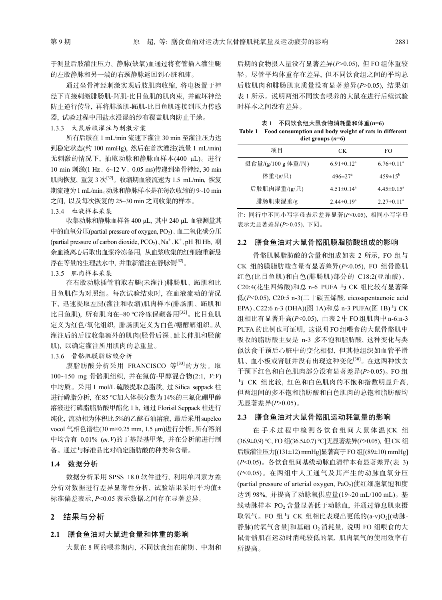于测量后肢灌注压力。静脉(缺氧)血通过将套管插入灌注腿 的左股静脉和另一端的右颈静脉返回到心脏和肺。

通过坐骨神经刺激实现后肢肌肉收缩, 将电极置于神 经下直接刺激腓肠肌-跖肌-比目鱼肌的肌肉束, 并破坏神经 防止逆行传导, 再将腓肠肌-跖肌-比目鱼肌连接到压力传感 器, 试验过程中用盐水浸湿的纱布覆盖肌肉防止干燥。

1.3.3 大鼠后肢灌注与刺激方案

所有后肢在 1 mL/min 流速下灌注 30 min 至灌注压力达 到稳定状态(约 100 mmHg), 然后在首次灌注(流量 1 mL/min) 无刺激的情况下, 抽取动脉和静脉血样本(400 μL)。进行 10 min 刺激(1 Hz、6~12 V、0.05 ms)传递到坐骨神经, 30 min 肌肉恢复, 重复 3 次[32]。收缩期血液流速为 1.5 mL/min, 恢复 期流速为1 mL/min。动脉和静脉样本是在每次收缩的 9~10 min 之间, 以及每次恢复的 25~30 min 之间收集的样本。

1.3.4 血液样本采集

收集动脉和静脉血样各 400 μL, 其中 240 μL 血液测量其 中的血氧分压(partial pressure of oxygen,  $PO<sub>2</sub>$ )、血二氧化碳分压 (partial pressure of carbon dioxide, PCO<sub>2</sub>)、Na<sup>+</sup>、K<sup>+</sup>、pH 和 Hb, 剩 余血液离心后取出血浆冷冻备用, 从血浆收集的红细胞重新悬 浮在等量的生理盐水中, 并重新灌注在静脉侧[32]。

#### 1.3.5 肌肉样本采集

在右股动脉插管前取右腿(未灌注)腓肠肌、跖肌和比 目鱼肌作为对照组。每次试验结束时, 在血液流动的情况 下, 迅速提取左腿(灌注和收缩)肌肉样本(腓肠肌、跖肌和 比目鱼肌), 所有肌肉在–80 ℃冷冻保藏备用[32]。比目鱼肌 定义为红色/氧化组织, 腓肠肌定义为白色/糖酵解组织。从 灌注后的后肢收集额外的肌肉(胫骨后深、趾长伸肌和胫前 肌), 以确定灌注所用肌肉的总重量。

## 1.3.6 骨骼肌膜脂肪酸分析

膜脂肪酸分析采用 FRANCISCO 等[33]的方法。取 100~150 mg 骨骼肌组织, 并在氯仿-甲醇混合物(2:1, *V*:*V*) 中均质。采用 1 mol/L 硫酸提取总脂质, 过 Silica seppack 柱 进行磷脂分析, 在85 ℃加入体积分数为14%的三氟化硼甲醇 溶液进行磷脂脂肪酸甲酯化 1 h, 通过 Florisil Seppack 柱进行 纯化, 流动相为体积比5%的乙醚石油溶液, 最后采用supelco vocol 气相色谱柱(30 m×0.25 mm, 1.5 μm)进行分析。所有溶剂 中均含有 0.01% (*m:V*)的丁基羟基甲苯, 并在分析前进行制 备。通过与标准品比对确定脂肪酸的种类和含量。

#### **1.4** 数据分析

数据分析采用 SPSS 18.0 软件进行, 利用单因素方差 分析对数据进行差异显著性分析, 试验结果采用平均值 标准偏差表示, *P*<0.05 表示数据之间存在显著差异。

## **2** 结果与分析

#### **2.1** 膳食鱼油对大鼠进食量和体重的影响

大鼠在 8 周的喂养期内, 不同饮食组在前期、中期和

后期的食物摄入量没有显著差异(*P*>0.05), 但 FO 组体重较 轻。尽管平均体重存在差异, 但不同饮食组之间的平均总 后肢肌肉和腓肠肌束质量没有显著差异(*P*>0.05), 结果如 表 1 所示。说明两组不同饮食喂养的大鼠在进行后续试验 时样本之间没有差异。

| 不同饮食组大鼠食物消耗量和体重(n=6)<br>Table 1 Food consumption and body weight of rats in different |
|---------------------------------------------------------------------------------------|
| diet groups $(n=6)$                                                                   |

| 项目                 | CK.                          | FO.               |  |  |  |
|--------------------|------------------------------|-------------------|--|--|--|
| 摄食量/(g/100 g 体重/周) | $6.91 \pm 0.12^a$            | $6.76 \pm 0.11^a$ |  |  |  |
| 体重/(g/只)           | $496 \pm 27$ <sup>a</sup>    | $459 \pm 15^{b}$  |  |  |  |
| 后肢肌肉湿重/(g/只)       | $4.51 \pm 0.14$ <sup>a</sup> | $4.45 \pm 0.15^a$ |  |  |  |
| 腓肠肌束湿重/g           | $2.44 \pm 0.19^a$            | $2.27 \pm 0.11^a$ |  |  |  |

注: 同行中不同小写字母表示差异显著(*P*<0.05), 相同小写字母 表示无显著差异(*P>*0.05), 下同。

#### **2.2** 膳食鱼油对大鼠骨骼肌膜脂肪酸组成的影响

骨骼肌膜脂肪酸的含量和组成如表 2 所示, FO 组与 CK 组的膜脂肪酸含量有显著差异(*P*<0.05), FO 组骨骼肌 红色(比目鱼肌)和白色(腓肠肌)部分的 C18:2(亚油酸)、 C20:4(花生四烯酸)和总 n-6 PUFA 与 CK 组比较有显著降 低(*P*<0.05), C20:5 n-3(二十碳五烯酸, eicosapentaenoic acid EPA)、C22:6 n-3 (DHA)(图 1A)和总 n-3 PUFA(图 1B)与 CK 组相比有显著升高(*P*<0.05), 由表 2 中 FO 组肌肉中 n-6:n-3 PUFA 的比例也可证明, 这说明 FO 组喂食的大鼠骨骼肌中 吸收的脂肪酸主要是 n-3 多不饱和脂肪酸, 这种变化与类 似饮食干预后心脏中的变化相似, 但其他组织如血管平滑 肌、血小板或肾脏并没有出现这种变化[30]。在这两种饮食 干预下红色和白色肌肉部分没有显著差异(*P*>0.05)。FO 组 与 CK 组比较, 红色和白色肌肉的不饱和指数明显升高, 但两组间的多不饱和脂肪酸和白色肌肉的总饱和脂肪酸均 无显著差异(*P*>0.05)。

#### **2.3** 膳食鱼油对大鼠骨骼肌运动耗氧量的影响

在手术过程中检测各饮食组间大鼠体温[CK 组 (36.9±0.9) ℃, FO 组(36.5±0.7) ℃]无显著差异(*P*>0.05), 但CK 组 后肢灌注压力[(131±12) mmHg]显著高于FO组[(89±10) mmHg] (*P*<0.05)。各饮食组间基线动脉血清样本有显著差异(表 3) (*P*<0.05)。在两组中人工通气及其产生的动脉血氧分压 (partial pressure of arterial oxygen, PaO<sub>2</sub>)使红细胞氧饱和度 达到 98%, 并提高了动脉氧供应量(19~20 mL/100 mL)。基 线动脉样本 PO<sub>2</sub> 含量显著低于动脉血, 并通过静息肌束摄 取氧气。FO 组与 CK 组相比表现出更低的 $(a-v)O<sub>2</sub>$ [(动脉-静脉)的氧气含量]和基础 O2 消耗量, 说明 FO 组喂食的大 鼠骨骼肌在运动时消耗较低的氧, 肌肉氧气的使用效率有 所提高。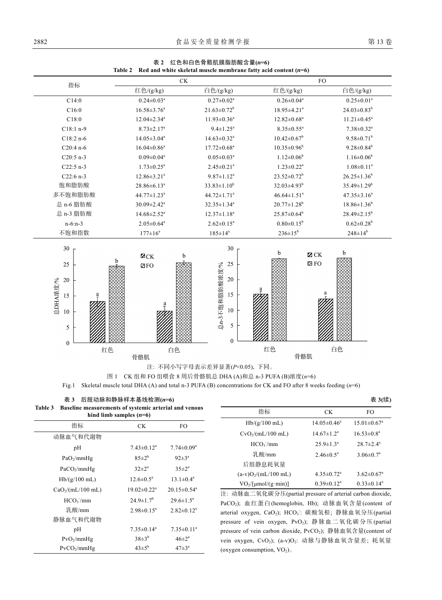| 指标                                                      | CK                            |                                                                               |                                       | <b>FO</b>                    |  |
|---------------------------------------------------------|-------------------------------|-------------------------------------------------------------------------------|---------------------------------------|------------------------------|--|
|                                                         | 红色/(g/kg)                     | 白色/(g/kg)                                                                     | 红色/(g/kg)                             | 白色/(g/kg)                    |  |
| C14:0                                                   | $0.24 \pm 0.03^a$             | $0.27 \pm 0.02^a$                                                             | $0.26 \pm 0.04^a$                     | $0.25 \pm 0.01^a$            |  |
| C16:0                                                   | $16.58 \pm 3.76^a$            | $21.63 \pm 0.72^b$                                                            | $18.95 \pm 4.21$ <sup>a</sup>         | $24.03 \pm 0.83^b$           |  |
| C18:0                                                   | $12.04 \pm 2.34$ <sup>a</sup> | $11.93 \pm 0.36$ <sup>a</sup>                                                 | $12.82 \pm 0.68^a$                    | $11.21 \pm 0.45^a$           |  |
| $C18:1 n-9$                                             | $8.73 \pm 2.17^a$             | $9.4 \pm 1.25^a$                                                              | $8.35 \pm 0.55^a$                     | $7.38 \pm 0.32$ <sup>a</sup> |  |
| $C18:2 n-6$                                             | $14.05 \pm 3.04^a$            | $14.63 \pm 0.32$ <sup>a</sup>                                                 | $10.42 \pm 0.67$ <sup>b</sup>         | $9.58 \pm 0.71^b$            |  |
| $C20:4n-6$                                              | $16.04 \pm 0.86^a$            | $17.72 \pm 0.68^a$                                                            | $10.35 \pm 0.96^b$                    | $9.28 \pm 0.84^b$            |  |
| $C20:5 n-3$                                             | $0.09 \pm 0.04^a$             | $0.05 \pm 0.03^a$                                                             | $1.12 \pm 0.06^b$                     | $1.16 \pm 0.06^b$            |  |
| $C22:5 n-3$                                             | $1.73 \pm 0.25$ <sup>a</sup>  | $2.45 \pm 0.21$ <sup>a</sup>                                                  | $1.23 \pm 0.22^a$                     | $1.08 \pm 0.11^a$            |  |
| $C22:6n-3$                                              | $12.86 \pm 3.21$ <sup>a</sup> | $9.87 \pm 1.12^a$                                                             | $23.52 \pm 0.72^b$                    | $26.25 \pm 1.36^b$           |  |
| 饱和脂肪酸                                                   | $28.86 \pm 6.13^a$            | $33.83 \pm 1.10^b$                                                            | $32.03 \pm 4.93^b$                    | $35.49 \pm 1.29^b$           |  |
| 多不饱和脂肪酸                                                 | $44.77 \pm 1.23$ <sup>a</sup> | $44.72 \pm 1.71$ <sup>a</sup>                                                 | $46.64 \pm 1.51$ <sup>a</sup>         | $47.35 \pm 3.16^a$           |  |
| 总 n-6 脂肪酸                                               | $30.09 \pm 2.42^a$            | $32.35 \pm 1.34^a$                                                            | $20.77 \pm 1.28$ <sup>b</sup>         | $18.86 \pm 1.36^b$           |  |
| 总 n-3 脂肪酸                                               | $14.68 \pm 2.52$ <sup>a</sup> | $12.37 \pm 1.18^a$                                                            | $25.87 \pm 0.64^b$                    | $28.49 \pm 2.15^b$           |  |
| $n-6: n-3$                                              | $2.05 \pm 0.64$ <sup>a</sup>  | $2.62 \pm 0.15^a$                                                             | $0.80 \pm 0.15^b$                     | $0.62 \pm 0.28^b$            |  |
| 不饱和指数                                                   | $177 \pm 16^a$                | $185 \pm 14^a$                                                                | $236 \pm 15^{b}$                      | $248 \pm 14^{\mathrm{b}}$    |  |
| 30<br>25<br>$20\,$<br>总DHA浓度%<br>15<br>10<br>$\sqrt{5}$ | $Z$ CK<br>b<br>$\boxtimes$ FO | 30<br>25<br>总n-3不饱和脂肪酸浓度/%<br>$20\,$<br>15<br>$10\,$<br>5<br>$\boldsymbol{0}$ | b<br>$\mathbb Z$ CK<br>$\boxtimes$ FO | b                            |  |
| $\boldsymbol{0}$<br>红色                                  | 白色                            |                                                                               | 红色                                    | 白色                           |  |
|                                                         | 骨骼肌                           |                                                                               | 骨骼肌                                   |                              |  |

表 **2** 红色和白色骨骼肌膜脂肪酸含量**(***n***=6)** 

图 1 CK 组和 FO 组喂食 8 周后骨骼肌总 DHA (A)和总 n-3 PUFA (B)浓度(*n*=6) Fig.1 Skeletal muscle total DHA (A) and total n-3 PUFA (B) concentrations for CK and FO after 8 weeks feeding (*n*=6)

> $\overline{\phantom{a}}$  $\overline{\phantom{0}}$

表 **3** 后肢动脉和静脉样本基线检测**(***n***=6) Table 3 Baseline measurements of systemic arterial and venous** 

| hind limb samples $(n=6)$     |                               |                               |  |  |  |
|-------------------------------|-------------------------------|-------------------------------|--|--|--|
| 指标                            | CK.                           | FO                            |  |  |  |
| 动脉血气和代谢物                      |                               |                               |  |  |  |
| рH                            | $7.43 \pm 0.12^a$             | $7.74 \pm 0.09^{\text{a}}$    |  |  |  |
| $PaO_2/mmHg$                  | $85+2^{b}$                    | $92 \pm 3^{\circ}$            |  |  |  |
| $PaCO_2/mmHg$                 | $32 \pm 2^a$                  | $35 \pm 2^{\rm a}$            |  |  |  |
| $Hb/(g/100$ mL)               | $12.6 \pm 0.5^{\text{a}}$     | $13.1 \pm 0.4^a$              |  |  |  |
| CaO <sub>2</sub> /(mL/100 mL) | $19.02 \pm 0.22$ <sup>a</sup> | $20.15 \pm 0.54$ <sup>a</sup> |  |  |  |
| HCO <sub>3</sub> /mm          | $24.9 \pm 1.7$ <sup>b</sup>   | $29.6 \pm 1.5^{\circ}$        |  |  |  |
| 乳酸/mm                         | $2.98 \pm 0.15^a$             | $2.82 \pm 0.12^a$             |  |  |  |
| 静脉血气和代谢物                      |                               |                               |  |  |  |
| рH                            | $7.35 \pm 0.14^a$             | $7.35 \pm 0.11^a$             |  |  |  |
| $PvO_2/mmHg$                  | $38\pm3^b$                    | $46 \pm 2^{\circ}$            |  |  |  |
| $PvCO_2/mmHg$                 | $43\pm5^{6}$                  | $47\pm3^{\circ}$              |  |  |  |

|                                                    |                              | 表 3(续)                        |
|----------------------------------------------------|------------------------------|-------------------------------|
| 指标                                                 | CK.                          | FO.                           |
| $Hb/(g/100$ mL)                                    | $14.05 \pm 0.46^{\circ}$     | $15.01 \pm 0.67$ <sup>a</sup> |
| $CvO_2/(mL/100 mL)$                                | $14.67 \pm 1.2^a$            | $16.53 \pm 0.8^{\text{a}}$    |
| HCO <sub>3</sub> /mm                               | $25.9 \pm 1.3^a$             | $28.7 \pm 2.4^a$              |
| <b>乳酸/mm</b>                                       | $2.46 \pm 0.5^{\circ}$       | $3.06 \pm 0.7^{\circ}$        |
| 后肢静息耗氧量                                            |                              |                               |
| $(a-v)O_2/(mL/100 mL)$                             | $4.35 \pm 0.72$ <sup>a</sup> | $3.62 \pm 0.67$ <sup>a</sup>  |
| $\text{VO}_2/\text{mol}/(\text{g}\cdot\text{min})$ | $0.39 \pm 0.12^a$            | $0.33 \pm 0.14^a$             |

注: 动脉血二氧化碳分压(partial pressure of arterial carbon dioxide, PaCO2); 血红蛋白(hemoglobin, Hb); 动脉血氧含量(content of arterial oxygen, CaO<sub>2</sub>); HCO<sub>3</sub>: 碳酸氢根; 静脉血氧分压(partial pressure of vein oxygen, PvO<sub>2</sub>); 静脉血二氧化碳分压(partial pressure of vein carbon dioxide, PvCO<sub>2</sub>); 静脉血氧含量(content of vein oxygen, CvO<sub>2</sub>); (a-v)O<sub>2</sub>: 动脉与静脉血氧含量差; 耗氧量 (oxygen consumption,  $VO<sub>2</sub>$ ).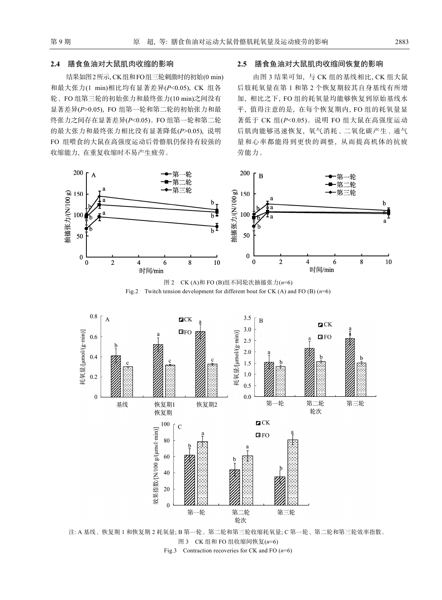### **2.4** 膳食鱼油对大鼠肌肉收缩的影响

结果如图2所示, CK组和FO组三轮刺激时的初始(0 min) 和最大张力(1 min)相比均有显著差异(*P*<0.05), CK 组各 轮、FO 组第三轮的初始张力和最终张力(10 min)之间没有 显著差异(*P*>0.05), FO 组第一轮和第二轮的初始张力和最 终张力之间存在显著差异(*P*<0.05)。FO 组第一轮和第二轮 的最大张力和最终张力相比没有显著降低(*P*>0.05), 说明 FO 组喂食的大鼠在高强度运动后骨骼肌仍保持有较强的 收缩能力, 在重复收缩时不易产生疲劳。

### **2.5** 膳食鱼油对大鼠肌肉收缩间恢复的影响

由图 3 结果可知, 与 CK 组的基线相比, CK 组大鼠 后肢耗氧量在第 1 和第 2 个恢复期较其自身基线有所增 加, 相比之下, FO 组的耗氧量均能够恢复到原始基线水 平, 值得注意的是, 在每个恢复期内, FO 组的耗氧量显 著低于 CK 组(*P*<0.05)。说明 FO 组大鼠在高强度运动 后肌肉能够迅速恢复, 氧气消耗、二氧化碳产生、通气 量和心率都能得到更快的调整, 从而提高机体的抗疲 劳能力。



图 2 CK (A)和 FO (B)组不同轮次抽搐张力(*n*=6) Fig.2 Twitch tension development for different bout for CK (A) and FO (B) (*n*=6)



注: A 基线、恢复期 1 和恢复期 2 耗氧量; B 第一轮、第二轮和第三轮收缩耗氧量; C 第一轮、第二轮和第三轮效率指数。 图 3 CK 组和 FO 组收缩间恢复(*n*=6) Fig.3 Contraction recoveries for CK and FO (*n*=6)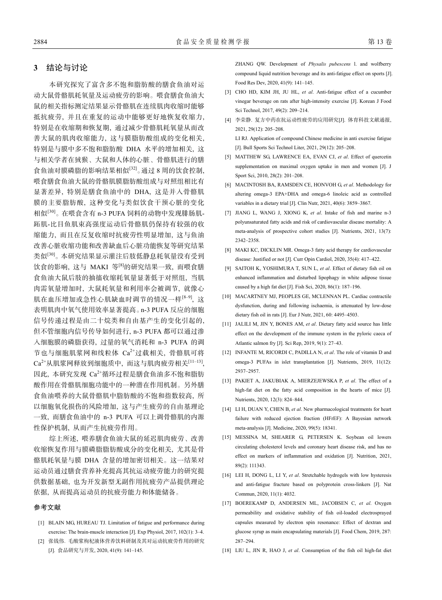# **3** 结论与讨论

本研究探究了富含多不饱和脂肪酸的膳食鱼油对运 动大鼠骨骼肌耗氧量及运动疲劳的影响。喂食膳食鱼油大 鼠的相关指标测定结果显示骨骼肌在连续肌肉收缩时能够 抵抗疲劳, 并且在重复的运动中能够更好地恢复收缩力, 特别是在收缩期和恢复期, 通过减少骨骼肌耗氧量从而改 善大鼠的肌肉收缩能力, 这与膜脂肪酸组成的变化相关, 特别是与膜中多不饱和脂肪酸 DHA 水平的增加相关, 这 与相关学者在狨猴、大鼠和人体的心脏、骨骼肌进行的膳 食鱼油对膜磷脂的影响结果相似[32]。通过 8 周的饮食控制, 喂食膳食鱼油大鼠的骨骼肌膜脂肪酸组成与对照组相比有 显著差异, 特别是膳食鱼油中的 DHA, 这是并入骨骼肌 膜的主要脂肪酸, 这种变化与类似饮食干预心脏的变化 相似[30]。在喂食含有 n-3 PUFA 饲料的动物中发现腓肠肌-跖肌-比目鱼肌束高强度运动后骨骼肌仍保持有较强的收 缩能力, 而且在反复收缩时抗疲劳性明显增加, 这与鱼油 改善心脏收缩功能和改善缺血后心脏功能恢复等研究结果 类似[30]。本研究结果显示灌注后肢低静息耗氧量没有受到 饮食的影响, 这与 MAKI 等<sup>[8]</sup>的研究结果一致, 而喂食膳 食鱼油大鼠后肢的抽搐收缩耗氧量显著低于对照组, 当肌 肉需氧量增加时, 大鼠耗氧量和利用率会被调节, 就像心 肌在血压增加或急性心肌缺血时调节的情况一样[8-9], 这 表明肌肉中氧气使用效率显著提高。n-3 PUFA 反应的细胞 信号传递过程是由二十烷类和自由基产生的变化引起的, 但不管细胞内信号传导如何进行, n-3 PUFA 都可以通过渗 入细胞膜的磷脂获得, 过量的氧气消耗和 n-3 PUFA 的调 节也与细胞肌浆网和线粒体 Ca<sup>2+</sup>过载相关, 骨骼肌可将 Ca2+从肌浆网释放到细胞质中, 而这与肌肉疲劳相关[11–13], 因此, 本研究发现 Ca<sup>2+</sup>循环过程是膳食鱼油多不饱和脂肪 酸作用在骨骼肌细胞功能中的一种潜在作用机制。另外膳 食鱼油喂养的大鼠骨骼肌中脂肪酸的不饱和指数较高, 所 以细胞氧化损伤的风险增加, 这与产生疲劳的自由基理论 一致, 而膳食鱼油中的 n-3 PUFA 可以上调骨骼肌的内源 性保护机制, 从而产生抗疲劳作用。

综上所述, 喂养膳食鱼油大鼠的延迟肌肉疲劳、改善 收缩恢复作用与膜磷脂脂肪酸成分的变化相关, 尤其是骨 骼肌耗氧量与膜 DHA 含量的增加密切相关。这一结果对 运动员通过膳食营养补充提高其抗运动疲劳能力的研究提 供数据基础, 也为开发新型无副作用抗疲劳产品提供理论 依据, 从而提高运动员的抗疲劳能力和体能储备。

#### 参考文献

- [1] BLAIN MG, HUREAU TJ. Limitation of fatigue and performance during exercise: The brain-muscle interaction [J]. Exp Physiol, 2017, 102(1): 3–4.
- [2] 张钱伟. 毛酸浆枸杞液体营养饮料研制及其对运动抗疲劳作用的研究 [J]. 食品研究与开发, 2020, 41(9): 141–145.

ZHANG QW. Development of *Physalis pubescens* l. and wolfberry compound liquid nutrition beverage and its anti-fatigue effect on sports [J]. Food Res Dev, 2020, 41(9): 141–145.

- [3] CHO HD, KIM JH, JU HL, *et al*. Anti-fatigue effect of a cucumber vinegar beverage on rats after high-intensity exercise [J]. Korean J Food Sci Technol, 2017, 49(2): 209–214.
- [4] 李荣静. 复方中药在抗运动性疲劳的应用研究[J]. 体育科技文献通报, 2021, 29(12): 205–208.

LI RJ. Application of compound Chinese medicine in anti exercise fatigue [J]. Bull Sports Sci Technol Liter, 2021, 29(12): 205–208.

- [5] MATTHEW SG, LAWRENCE EA, EVAN CJ, *et al*. Effect of quercetin supplementation on maximal oxygen uptake in men and women [J]. J Sport Sci, 2010, 28(2): 201–208.
- [6] MACINTOSH BA, RAMSDEN CE, HONVOH G, *et al*. Methodology for altering omega-3 EPA+DHA and omega-6 linoleic acid as controlled variables in a dietary trial [J]. Clin Nutr, 2021, 40(6): 3859–3867.
- [7] JIANG L, WANG J, XIONG K, *et al*. Intake of fish and marine n-3 polyunsaturated fatty acids and risk of cardiovascular disease mortality: A meta-analysis of prospective cohort studies [J]. Nutrients, 2021, 13(7): 2342–2358.
- [8] MAKI KC, DICKLIN MR. Omega-3 fatty acid therapy for cardiovascular disease: Justified or not [J]. Curr Opin Cardiol, 2020, 35(4): 417–422.
- [9] SAITOH K, YOSHIMURA T, SUN L, *et al*. Effect of dietary fish oil on enhanced inflammation and disturbed lipophagy in white adipose tissue caused by a high fat diet [J]. Fish Sci, 2020, 86(1): 187–196.
- [10] MACARTNEY MJ, PEOPLES GE, MCLENNAN PL. Cardiac contractile dysfunction, during and following ischaemia, is attenuated by low-dose dietary fish oil in rats [J]. Eur J Nutr, 2021, 60: 4495–4503.
- [11] JALILI M, JIN Y, BONES AM, *et al*. Dietary fatty acid source has little effect on the development of the immune system in the pyloric caeca of Atlantic salmon fry [J]. Sci Rep, 2019, 9(1): 27–43.
- [12] INFANTE M, RICORDI C, PADILLA N, *et al*. The role of vitamin D and omega-3 PUFAs in islet transplantation [J]. Nutrients, 2019, 11(12): 2937–2957.
- [13] PAKIET A, JAKUBIAK A, MIERZEJEWSKA P, *et al*. The effect of a high-fat diet on the fatty acid composition in the hearts of mice [J]. Nutrients, 2020, 12(3): 824–844.
- [14] LI H, DUAN Y, CHEN B, et al. New pharmacological treatments for heart failure with reduced ejection fraction (HFrEF): A Bayesian network meta-analysis [J]. Medicine, 2020, 99(5): 18341.
- [15] MESSINA M, SHEARER G, PETERSEN K. Soybean oil lowers circulating cholesterol levels and coronary heart disease risk, and has no effect on markers of inflammation and oxidation [J]. Nutrition, 2021, 89(2): 111343.
- [16] LEI H, DONG L, LI Y, *et al*. Stretchable hydrogels with low hysteresis and anti-fatigue fracture based on polyprotein cross-linkers [J]. Nat Commun, 2020, 11(1): 4032.
- [17] BOEREKAMP D, ANDERSEN ML, JACOBSEN C, *et al*. Oxygen permeability and oxidative stability of fish oil-loaded electrosprayed capsules measured by electron spin resonance: Effect of dextran and glucose syrup as main encapsulating materials [J]. Food Chem, 2019, 287: 287–294.
- [18] LIU L, JIN R, HAO J, *et al*. Consumption of the fish oil high-fat diet